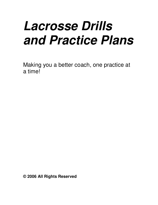# *Lacrosse Drills and Practice Plans*

Making you a better coach, one practice at a time!

**© 2006 All Rights Reserved**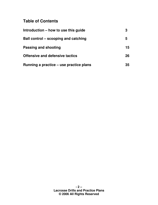# **Table of Contents**

| Introduction – how to use this guide    | 3  |
|-----------------------------------------|----|
| Ball control – scooping and catching    | 5  |
| Passing and shooting                    | 15 |
| <b>Offensive and defensive tactics</b>  | 26 |
| Running a practice – use practice plans | 35 |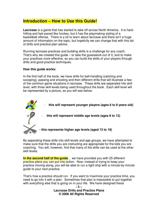### **Introduction – How to Use this Guide!**

**Lacrosse** is a game that has started to take off across North America. It is hardhitting and fast paced like hockey, but it has the playmaking styling of a basketball offense. There is a lot to learn about lacrosse and there isn't a huge amount of information on the topic, but hopefully we can change that with this list of drills and practice plan advice.

Running lacrosse practices and building skills is a challenge for any coach. That's why we created this guide – to take the guesswork out of it, and to make your practices more effective, so you can build the skills of your players through drills and good practice techniques.

#### **How this guide works:**

In the first half of the book, we have drills for ball-handling (catching and scooping), passing and shooting and then different drills that will illustrate a few of the common game situations in lacrosse. These drills are separated into skill level, with three skill levels being used throughout the book. Each skill level will be represented by a picture, as you will see below:



By separating these drills into skill levels and age groups, we have attempted to make sure that the drills you are instructing are appropriate for the kids you are coaching. You will, however, find that many of the drills can be used at the other skill levels.

**In the second half of the guide**... we have provided you with 25 different practice plans you can put into action. Now, instead of trying to keep your practice moving along, you will be able to run a tight ship with a minute-by-minute guide to your next practice.

That's how a practice should run. If you want to maximize your practice time, you need to go into it with a plan. Sometimes that plan is impossible to put together with everything else that is going on in your life. We have designed these

> **- 3 – Lacrosse Drills and Practice Plans © 2006 All Rights Reserved**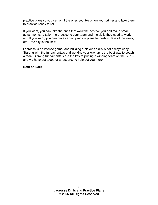practice plans so you can print the ones you like off on your printer and take them to practice ready to roll.

If you want, you can take the ones that work the best for you and make small adjustments, to tailor the practice to your team and the skills they need to work on. If you want, you can have certain practice plans for certain days of the week, etc – the sky is the limit!

Lacrosse is an intense game, and building a player's skills is not always easy. Starting with the fundamentals and working your way up is the best way to coach a team. Strong fundamentals are the key to putting a winning team on the field – and we have put together a resource to help get you there!

**Best of luck!**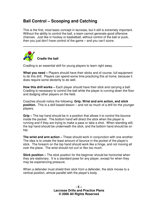# **Ball Control – Scooping and Catching**

This is the first, most basic concept in lacrosse, but it still is extremely important. Without the ability to control the ball, a team cannot generate good offensive chances. Just like in hockey or basketball, without control of the ball or puck, then you just don't have control of the game – and you can't score.



Cradling is an essential skill for young players to learn right away.

**What you need –** Players should have their sticks and of course, full equipment to do this drill. Players can spend some time practicing this at home, because it does require some dexterity to do well.

**How this drill works –** Each player should have their stick and carrying a ball. Cradling is necessary to control the ball while the player is running down the floor and dodging other players on the field.

Coaches should notice the following: **Grip, Wrist and arm action, and stick position.** This is a skill based lesson – and not so much of a drill for the younger players.

**Grip –** The top hand should be in a position that allows it to control the bounce inside the pocket. The bottom hand will direct the stick when the player is running and if they are trying to make a pass or take a shot. When standing still, the top hand should be underneath the stick, and the bottom hand should be on top.

**The wrist and arm action –** These should work in conjunction with one another. The idea is to create the least amount of bounce in the pocket of the player's stick. The forearm on the top hand should work like a hinge, and not moving all over the place. The wrist should not curl or flex too much.

**Stick position –** The stick position for the beginner should be horizontal when they are stationary. It is a standard pose for any player, except for when they may be experiencing pressure.

When a defender must shield their stick from a defender, the stick moves to a vertical position, almost parallel with the player's body.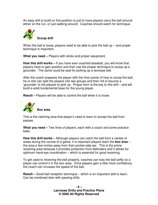An easy drill to build on this position is just to have players carry the ball around, either on the run, or just walking around. Coaches should watch for technique.



When the ball is loose, players need to be able to pick the ball up – and proper technique is important.

**What you need –** Players with sticks and proper equipment.

**How this drill works –** If you have ever coached baseball, you will know that players have to gain position and then use the proper technique to scoop up a grounder. The same could be said for picking up a lacrosse ball.

After the coach prepares the player with the finer points of how to scoop the ball, he or she can split the players into two groups and then roll or bounce a 'grounder' to the players to pick up. Proper form is the key to this drill – and will build a solid fundamental base for the young player.

**Result –** Players will be able to control the ball when it is loose.



This is the catching area that player's need to learn to accept the ball from passes.

**What you need –** Two lines of players, each with a coach and some practice balls.

**How this drill works –** Although players can catch the ball from a variety of areas during the course of a game, it is important players learn the **box area** – the area a few inches away from their pocket side ear. This is the prime receiving area because it provides protection from defenders and it allows for optimum hand-eye coordination – which is essential for good receiving.

To get used to receiving the ball properly, coaches can toss the ball softly so a player can control it in the box area. Once players gain a little more confidence, the coach can increase the speed of the ball.

**Result –** Good ball reception technique – which is an important skill to learn. Can be combined later with passing drills.

> **- 6 – Lacrosse Drills and Practice Plans © 2006 All Rights Reserved**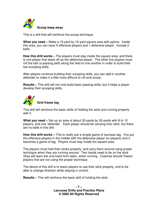

This is a drill that will reinforce the scoop technique.

**What you need –** Make a 15-yard by 15-yard square area with pylons. Inside this area, you can have 5 offensive players and 1 defensive player. Include 2 balls.

**How this drill works –** The players must stay inside the square area, and there is one player that starts off as the defensive player. The other five players must roll the ball (a passing skill) along the field to one another in order to build their low scooping skills.

After players continue building their scooping skills, you can add in another defender to make it a little more difficult to roll and scoop.

**Results –** This drill will not only build basic passing skills, but it helps a player develop their scooping skills.



This drill will reinforce the basic skills of holding the stick and running properly with it.

**What you need –** Set up an area of about 30-yards by 30-yards with 8 to 10 players, and one 'defender'. Each player should be carrying their stick, but there are no balls in this drill.

**How this drill works –** This is really just a simple game of lacrosse tag. You put the offensive players in the middle with the defensive player (or players) and it becomes a game of tag. Players must stay inside the square area.

The players must hold their sticks properly, and carry them around using proper technique when they are running around. Two hands need to be on the stick (they will learn the one-hand form later), when running. Coaches should 'freeze' players that are not using the proper technique.

The desire of this drill is to teach players to use their stick properly, and to be able to change direction while staying in control.

**Results –** This will reinforce the basic skill of holding the stick.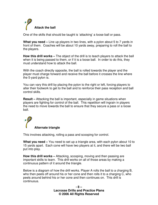

One of the skills that should be taught is 'attacking' a loose ball or pass.

**What you need –** Line up players in two lines, with a pylon about 5 to 7 yards in front of them. Coaches will be about 10 yards away, preparing to roll the ball to the players.

**How this drill works –** The object of the drill is to teach players to attack the ball when it is being passed to them, or if it is a loose ball. In order to do this, they must understand how to attack the ball.

With the coach directly opposite, the ball is rolled towards the player and the player must charge forward and receive the ball before it crosses the line where the 5-yard pylon is.

You can vary this drill by placing the pylon to the right or left, forcing players to alter their footwork to get to the ball and to reinforce their pass reception and ball control skills.

**Result –** Attacking the ball is important, especially in game situations when players are fighting for control of the ball. This repetition will ingrain in players the need to move towards the ball to ensure that they secure a pass or a loose ball.

# **Alternate triangle**

This involves attacking, rolling a pass and scooping for control.

**What you need –** You need to set up a triangle area, with each pylon about 10 to 15 yards apart. Each cone will have two players at it, and there will be two ball put into play.

**How this drill works –** Attacking, scooping, moving and then passing are important skills to learn. This drill works on all of those areas by making a continuous pattern of it around the triangle.

Below is a diagram of how the drill works. Player A rolls the ball to a charging B, who then peels off around his or her cone and then rolls it to a charging C, who peels around behind his or her cone and then continues on. This drill is continuous.

> **- 8 – Lacrosse Drills and Practice Plans © 2006 All Rights Reserved**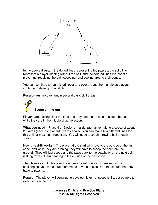

In the above diagram, the dotted lines represent rolled passes, the solid line represent a player running without the ball, and the colored lines represent a player just receiving the ball (scooping) and peeling around their cones.

You can continue to run this drill over and over around the triangle as players continue to develop their skills.

**Result –** An improvement in several basic skill areas.

**Scoop on the run**

Players are moving all of the time and they need to be able to scoop the ball while they are in the middle of game action.

**What you need –** Place 4 or 5 pylons in a zig-zag fashion along a space of about 20 yards (each cone about 5 yards apart). You can make two different lines for this drill for maximum repetition. You will need a coach throwing ball at each station.

**How this drill works –** The player at the start will move to the outside of the first cone, and while they are running, they will have to scoop the ball from the ground. They will just scoop and the pass back to the coach, when the next ball is flung toward them heading to the outside of the next cone.

The players can do this over the entire 20 yard course. To make it more challenging, you can set up teammates at various places on the course that they have to pass to.

**Result –** The player will continue to develop his or her scoop skills, but be able to execute it on the run.

> **- 9 – Lacrosse Drills and Practice Plans © 2006 All Rights Reserved**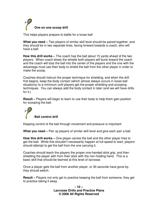

This helps players prepare to battle for a loose ball

**What you need –** Two players of similar skill level should be paired together, and they should be in two separate lines, facing forward towards a coach, who will have a ball.

**How this drill works –** The coach has the ball about 15 yards ahead of the two players. When coach blows the whistle both players will burst toward the coach and the coach will toss the ball into the center of the players and the one with the advantage must use their body to shield the ball from the other player in order to make the scoop.

Coaches should instruct the proper technique for shielding, and when the drill first begins, keep the body contact (which almost always occurs in loose ball situations) to a minimum until players get the proper shielding and scooping techniques. You can always add the body contact in later (and we will have drills for it.)

**Result –** Players will begin to learn to use their body to help them gain position for scooping the ball.

# **Ball control drill**

Keeping control of the ball through movement and pressure is important

**What you need –** Pair up players of similar skill level and give each pair a ball.

**How this drill works –** One player carries the ball and the other player tries to get the ball. While this shouldn't necessarily happen at full speed to start, players should attempt to get the ball from the one carrying it.

Coaches should teach the players the proper one-handed stick grip, and then shielding the player with from their stick with the non-holding hand. This is a basic skill that should be learned at this level of lacrosse.

Once a player gets the ball from another player, or 30 seconds have gone by, they should switch.

**Result –** Players not only get to practice keeping the ball from someone, they get to practice taking it away.

> **- 10 – Lacrosse Drills and Practice Plans © 2006 All Rights Reserved**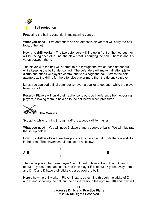

Protecting the ball is essential in maintaining control.

**What you need –** Two defenders and an offensive player that will carry the ball toward the net.

**How this drill works –** The two defenders will line up in front of the net, but they will be facing each other, not the player that is carrying the ball. There is about 5 yards between them.

The player with the ball will attempt to run through the two of those defenders while keeping the ball under control. The defenders will make half attempts to disrupt the offensive player's control and to dislodge the ball. Stress the halfattempts as the drill is for the offensive player more than the defensive player.

Later, you can add a final defender (or even a goalie) to get past, while the player takes a shot.

**Result –** Players will build their resilience to outside interference from opposing players, allowing them to hold on to the ball better when pressured.



Scooping while running through traffic is a good skill to master

**What you need –** You will need 5 players and a couple of balls. We will illustrate the set up below.

**How this drill works –** It teaches players to scoop the ball while there are sticks in the area. The players should be set up as follows:

|     | $\mathbf C$ |    |
|-----|-------------|----|
| A B |             | E. |
|     | D           |    |

The ball is placed between player C and D, with players A and B and C and D about 10 yards from each other, and then player E is about 15 yards away from c and D. C and D have their sticks crossed over the ball.

Here's how the drill works – Player B starts by running through the sticks of C and D and scooping the ball and he or she veers to the right (or left) and they will

> **- 11 – Lacrosse Drills and Practice Plans © 2006 All Rights Reserved**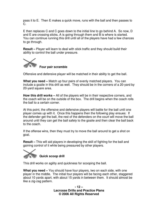pass it to E. Then E makes a quick move, runs with the ball and then passes to C.

E then replaces C and C goes down to the initial line to go behind A. So now, D and E are crossing sticks, A is going through them and B is where is started. You can continue running this drill until all of the players have had a few chances to go through.

**Result –** Player will learn to deal with stick traffic and they should build their ability to control the ball under pressure.



**Four pair scramble**

Offensive and defensive player will be matched in their ability to get the ball.

**What you need –** Match up four pairs of evenly matched players. You can include a goalie in this drill as well. They should be in the corners of a 20-yard by 20-yard square area.

**How this drill works –** All of the players will be in their respective corners, and the coach will be on the outside of the box. The drill begins when the coach rolls the ball to a certain corner.

At this point, the offensive and defensive players will battle for the ball until one player comes up with it. Once this happens then the following play ensues: If the defender get the ball, the rest of the defenders on the court will move the ball around until they can get the ball safely to the goalie and then clear the ball back to the coach.

If the offense wins, then they must try to move the ball around to get a shot on goal.

**Result –** This will aid players in developing the skill of fighting for the ball and gaining control of it while being pressured by other players.



This drill works on agility and quickness for scooping the ball.

**What you need –** You should have four players, two on each side, with one player in the middle. The initial four players will be facing each other, staggered about 10 yards apart, with about 15 yards in between them. It should almost be like a zig-zag pattern.

> **- 12 – Lacrosse Drills and Practice Plans © 2006 All Rights Reserved**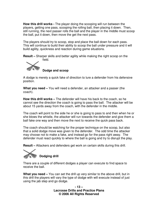**How this drill works -** The player doing the scooping will run between the players, getting one pass, scooping the rolling ball, then placing it down. Then, still running, the next passer rolls the ball and the player in the middle must scoop the ball, put it down, then move the get the next pass.

The players should try to scoop, stop and place the ball down for each pass. This will continue to build their ability to scoop the ball under pressure and it will build agility, quickness and reaction during game situations.

**Result –** Sharper skills and better agility while making the right scoop on the field.



**Dodge and scoop**

A dodge is merely a quick fake of direction to lure a defender from his defensive position.

**What you need –** You will need a defender, an attacker and a passer (the coach).

**How this drill works –** The defender will have his back to the coach, so he cannot see the direction the coach is going to pass the ball. The attacker will be about 15 yards away from the coach, with the defender in the middle.

The coach will point to the side he or she is going to pass to and then when he or she blows the whistle, the attacker will run towards the defender and give them a ball fake one way and then move the next to receive the quick pass back.

The coach should be watching for the proper technique on the scoop, but also that a solid dodge move was given to the defender. The odd time the attacker may choose not to make a fake, and instead go for the pass right away. The defender must react quickly to where the ball is going and try to disrupt the play.

**Result –** Attackers and defenders get work on certain skills during this drill.



There are a couple of different dodges a player can execute to find space to receive the ball.

**What you need –** You can set the drill up very similar to the above drill, but in this drill the players will vary the type of dodge with will execute instead of just using the jab step and go dodge.

> **- 13 – Lacrosse Drills and Practice Plans © 2006 All Rights Reserved**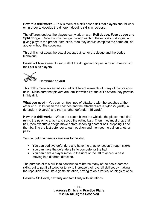**How this drill works –** This is more of a skill-based drill that players should work on in order to develop the different dodging skills in lacrosse.

The different dodges the players can work on are: **Roll dodge, Face dodge and Split dodge.** Once the coaches go through each of these types of dodges, and giving players the proper instruction, then they should complete the same drill as above without the scooping.

This drill is not about the actual scoop, but rather the dodge and the dodge technique.

**Result –** Players need to know all of the dodge techniques in order to round out their skills as players.



#### **Combination drill**

This drill is more advanced as it adds different elements of many of the previous drills. Make sure that players are familiar with all of the skills before they partake in this drill.

**What you need –** You can run two lines of attackers with the coaches at the other end. In between the coaches and the attackers are a pylon (5 yards), a defender (10 yards) and then another defender (15 yards).

**How this drill works –** When the coach blows the whistle, the player must first run to the pylon to attack and scoop the rolling ball. Then, they must drop that ball, then execute a dodge move before scooping another ball, dropping it and then battling the last defender to gain position and then get the ball on another pass.

You can add numerous variations to this drill:

- You can add two defenders and have the attacker scoop through sticks
- You can have the defenders try to compete for the ball
- You can have a player move to the right or the left to accept a pass moving in a different direction.

The purpose of this drill is to continue to reinforce many of the basic lacrosse skills, but to put it all together to try to increase their overall skill set by making the repetition more like a game situation, having to do a variety of things at once.

**Result –** Skill level, dexterity and familiarity with situations.

**- 14 – Lacrosse Drills and Practice Plans © 2006 All Rights Reserved**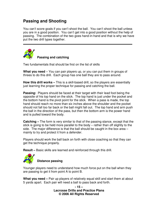# **Passing and Shooting**

You can't score goals if you can't shoot the ball. You can't shoot the ball unless you are in a good position. You can't get into a good position without the help of passing. The combination of the two goes hand-in-hand and that is why we have put the two drill types together.



#### **Passing and catching**

Two fundamentals that should be first on the list of skills

**What you need** – You can pair players up, or you can put them in groups of threes to do this drill. Each group has one ball they are to pass around.

**How this drill works –** This is a skill-based drill, so the players are essentially just learning the proper technique for passing and catching the ball.

**Passing:** Players should be faced at their target with their lead foot being the opposite of his top hand on the stick. The top hand is just under the pocket and the bottom hand is the pivot point for the stick. When a pass is made, the top hand should reach no more than six inches above the shoulder and the pocket should not fall too far back or the ball might fall out. The top hand and arm push the ball in the direction of the pass, but then the bottom arm is the power hand and is pulled toward the body.

**Catching –** The form is very similar to that of the passing stance, except that the stick is going to be held more parallel to the body – rather than off slightly to the side. The major difference is that the ball should be caught in the box area – mainly to try and protect it from a defender.

Players should work the ball back on forth with close coaching so that they can get the technique properly.

**Result –** Basic skills are learned and reinforced through this drill.



#### **Distance passing**

Younger players need to understand how much force put on the ball when they are passing to get it from point A to point B.

**What you need –** Pair up players of relatively equal skill and start them at about 5 yards apart. Each pair will need a ball to pass back and forth.

> **- 15 – Lacrosse Drills and Practice Plans © 2006 All Rights Reserved**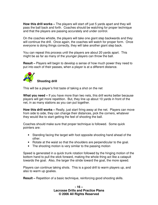**How this drill works –** The players will start off just 5 yards apart and they will pass the ball back and forth. Coaches should be watching for proper technique and that the players are passing accurately and under control.

On the coaches whistle, the players will take one giant step backwards and they will continue the drill. Once again, the coaches will watch for proper form. Once everyone is doing things correctly, they will take another giant step back.

You can repeat this process until the players are about 20 yards apart. This might be as far as many of the younger players can throw the ball.

**Result –** Players will begin to develop a sense of how much power they need to put into each of their passes, when a player is at a different distance.



#### **Shooting drill**

This will be a player's first taste of taking a shot on the net

**What you need –** If you have more than two nets, this drill works better because players will get more repetition. But, they line up about 10 yards in front of the net, in as many stations as you can put together.

**How this drill works –** Really, just start firing away at the net. Players can move from side to side, they can change their distances, pick the corners, whatever they would like to start getting the feel of shooting the ball.

Coaches should make sure that proper technique is followed. Some quick pointers are:

- Standing facing the target with foot opposite shooting hand ahead of the other.
- Rotate at the waist so that the shoulders are perpendicular to the goal.
- The shooting motion is very similar to the passing motion

Speed is generated in a quick trunk rotation followed by the hinging motion of the bottom hand to pull the stick forward, making the whole thing act like a catapult towards the goal. Also, the larger the stride toward the goal, the more speed.

Players can continue taking shots. This is a good drill to warm players up, and also to warm up goalies.

**Result –** Repetition of a basic technique, reinforcing good shooting skills.

**- 16 – Lacrosse Drills and Practice Plans © 2006 All Rights Reserved**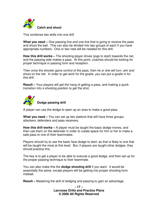

This combines two skills into one drill

**What you need –** One passing line and one line that is going to receive the pass and shoot the ball. This can also be divided into two groups of each if you have appropriate numbers. One or two nets will be needed for this drill.

**How this drill works –** The shooting player drives (jogs to start) towards the net, and the passing side makes a pass. At this point, coaches should be looking for proper technique in passing form and reception.

Then once the shooter gains control of the pass, then he or she will turn, aim and shoot on the net. In order to get work for the goalie, you can put a goalie in for this drill.

**Result –** Your players will get the hang of getting a pass, and making a quick transition into a shooting position to get the shot.



**Dodge passing drill**

A player can use the dodge to open up an area to make a good pass.

**What you need –** You can set up two stations that will have three groups: attackers, defenders and pass receivers.

**How this drill works –** A player must be taught the basic dodge moves, and then use them on the defender in order to create space for him or her to make a safe pass to one of their teammates.

Players should try to use the basic face dodge to start, as that is likely to one that will be taught the most at this level. But, if players are taught other dodges, they should practice this.

The key is to get a player to be able to execute a good dodge, and then set up for the proper passing technique to their teammate.

You can also make this the **dodge shooting drill** if you want. It would be essentially the same, except players will be getting into proper shooting form instead.

**Result –** Mastering the skill of dodging and passing to gain an advantage.

**- 17 – Lacrosse Drills and Practice Plans © 2006 All Rights Reserved**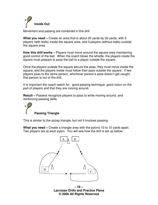

Movement and passing are combined in this drill

**What you need –** Create an area that is about 20 yards by 20 yards, with 5 players (with balls) inside the square area, and 5 players (without balls) outside the square area.

**How this drill works –** Players must move around the square area maintaining good control of the ball. When the coach blows the whistle, the players inside the square must prepare to pass the ball to a player outside the square.

Once the players outside the square secure the pass, they must move inside the square, and the players inside must follow their pass outside the square. If two players pass to the same person, whichever person's pass doesn't get caught, that person is out of the drill.

It is important the coach watch for: good passing technique, good vision on the part of players and that they are moving around.

**Result –** Passers recognize players to pass to while moving around, and reinforcing passing skills.

**Passing Triangle**

This is similar to the scoop triangle, but not it involves passing

**What you need –** Create a triangle area with the pylons 10 to 15 yards apart. Two players are at each pylon. You will see how the drill is set up below:



**- 18 – Lacrosse Drills and Practice Plans © 2006 All Rights Reserved**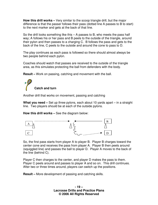**How this drill works –** Very similar to the scoop triangle drill, but the major difference is that the passer follows their pass (dotted line A passes to B to start) to the next marker and gets at the back of that line.

So the drill looks something like this  $-$  A passes to B, who meets the pass half way; A follows his or her pass and B peels to the outside of the triangle, around their pylon and then passes to a charging C. B follows the pass and gets to the back of the line, C peels to the outside and around the cone to pass to D.

The play continues as each pass is followed so there should almost always be two people behind each pylon.

Coaches should watch that passes are received to the outside of the triangle area, as this simulates protecting the ball from defenders with the body.

**Result –** Work on passing, catching and movement with the ball.

**Catch and turn**

Another drill that works on movement, passing and catching

**What you need –** Set up three pylons, each about 10 yards apart – in a straight line. Two players should be at each of the outside pylons.

**How this drill works –** See the diagram below:



So, the first pass starts from player A to player B. Player B charges toward the center cone and receives the pass from player A. Player B then peels around (squiggled line) and passes the ball to player D. Player A moves to the back of the line (behind C).

Player C then charges to the center, and player D makes the pass to them. Player C peels around and passes to player A and so on. This drill continues. After two or three times around, players can switch up the positions.

**Result –** More development of passing and catching skills.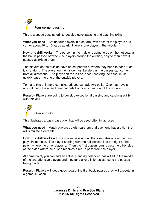

This is a speed passing drill to develop quick passing and catching skills

**What you need –** Set up four players in a square, with each of the players at a corner about 10 to 15 yards apart. There is one player in the middle.

**How this drill works –** The person in the middle is going to be on the hot seat as the ball is passed between the players around the outside, only to then have it passed quickly to them.

The players on the outside have no set pattern of where they need to pass it, as it is random. The player on the inside must be alert as the passes can come from all directions. The player on the inside, once receiving the pass, must quickly pass it to one of the outside players.

To make this drill more complicated, you can add two balls. One that travels around the outside, and one that gets bounced in and out of the square.

**Result –** Players are going to develop exceptional passing and catching agility with this drill.



This illustrates a basic pass play that will be used often in lacrosse

**What you need –** Match players up with partners and each one has a pylon that will simulate a defender.

**How this drill works –** It is a simple passing drill that illustrates one of the basic plays in lacrosse. The player starting with the ball passes it to the right of the pylon, where the other player is. Then the first players bursts past the other side of the pylon where he or she receives a return pass from the player.

At some point, you can add an actual standing defender that will sit in the middle of the two offensive players and they take give a little resistance to the passes being made.

**Result –** Players will get a good idea of the first basic passes they will execute in a game situation.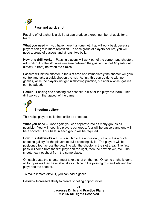

Passing off of a shot is a skill that can produce a great number of goals for a team

**What you need –** If you have more than one net, that will work best, because players can get in more repetition. In each group of players per net, you will need a group of passers and at least two balls.

**How this drill works –** Passing players will work out of the corner, and shooters will work out of the slot area (an area between the goal and about 10 yards out directly in front) between the circles.

Passers will hit the shooter in the slot area and immediately the shooter will gain control and take a quick shot on the net. At first, this can be done with no goalies, while the players just get in shooting practice, but after a while, goalies can be added.

**Result –** Passing and shooting are essential skills for the player to learn. This drill works on that aspect of the game.



This helps players build their skills as shooters.

**What you need –** Once again you can separate into as many groups as possible. You will need five players per group, four will be passers and one will be a shooter. Four balls in each group will be required.

**How this drill works –** This is similar to the above drill, but only it is a quick shooting gallery for the players to build shooting skills. The players will be positioned four across the goal line with the shooter in the slot area. The first pass will come from the first player on the right, then the next player, etc. The shooter cannot shoot from the same place.

On each pass, the shooter must take a shot on the net. Once he or she is done all four passes then he or she takes a place in the passing row and lets another player be the shooter.

To make it more difficult, you can add a goalie.

**Result –** Increased ability to create shooting opportunities.

**- 21 – Lacrosse Drills and Practice Plans © 2006 All Rights Reserved**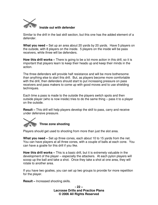

#### **Inside out with defender**

Similar to the drill in the last skill section, but this one has the added element of a defender.

**What you need –** Set up an area about 20 yards by 20 yards. Have 5 players on the outside, with 8 players on the inside. 5 players on the inside will be pass receivers, while three will be defenders.

**How this drill works –** There is going to be a lot more action in this drill, so it is important that players learn to keep their heads up and keep their minds in the action.

The three defenders will provide half resistance and will be more bothersome than anything else to start this drill. But, as players become more comfortable with the drill, then defenders should start to put increasing pressure on pass receivers and pass makers to come up with good moves and to use shielding techniques.

Each time a pass is made to the outside the players switch spots and then outside player (who is now inside) tries to do the same thing – pass it to a player on the outside.

**Result –** This drill will help players develop the skill to pass, carry and receive under defensive pressure.



Players should get used to shooting from more than just the slot area.

**What you need –** Set up three cones, each about 10 to 15 yards from the net. You can have players at all three cones, with a couple of balls at each cone. You can have a goalie for this drill if you like.

**How this drill works –** This is a basic drill, but it is extremely valuable in the development of the player – especially the attackers. At each pylon players will scoop up the ball and take a shot. Once they take a shot at one area, they will rotate to another area.

If you have two goalies, you can set up two groups to provide for more repetition for the player.

**Result –** Increased shooting skills.

**- 22 – Lacrosse Drills and Practice Plans © 2006 All Rights Reserved**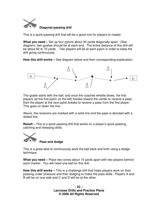

This is a quick passing drill that will be a good one for players to master

**What you need –** Set up four pylons about 30 yards diagonally apart. (See diagram), two goalies should be at each end. The entire distance of this drill will be about 60 to 70 yards. Two players will be at each pylon in order to keep the drill going continuously.

**How this drill works –** See diagram below and then corresponding explanation.



The goalie starts with the ball, and once the coaches whistle blows, the first players (at the first pylon on the left) breaks toward the center to receive a pass, then the player at the next pylon breaks to receive a pass from the first player. This goes on down the line.

Above, the receivers are marked with a solid line and the pass is denoted with a dotted line.

**Result –** This is a quick passing drill that works on a player's quick passing, catching and releasing skills.



**Pass and dodge**

This is a great deal to continuously work the ball back and forth using a dodge technique.

**What you need –** Place two cones about 15 yards apart with two players behind each marker. You will need one ball for this drill.

**How this drill works –** This is a challenge drill that helps players work on their passing under pressure and their dodging to make the pass skills. Players A and B will be on one side and C and D will be at the other.

> **- 23 – Lacrosse Drills and Practice Plans © 2006 All Rights Reserved**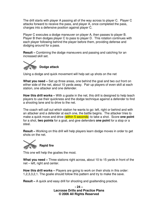The drill starts with player A passing all of the way across to player C. Player C attacks forward to receive the pass, and player A, once completed the pass, charges into a defensive position against player C.

Player C executes a dodge maneuver on player A, then passes to player B. Player B then dodges player C to pass to player D. This rotation continues with each player following behind the player before them, providing defense and dodging around for a pass.

**Result –** Combining the dodge maneuvers and passing and catching for an increased skill set.



Using a dodge and quick movement will help set up shots on the net

**What you need –** Set up three areas, one behind the goal and two out front on either side of the net, about 10 yards away. Pair up players of even skill at each station, one attacker and one defender.

**How this drill works –** With a goalie in the net, this drill is designed to help teach players to use their quickness and the dodge technique against a defender to find a shooting lane and to drive to the net.

The coach will call out which station he wants to go: left, right or behind and with an attacker and a defender at each one, the battle begins. The attacker tries to make a quick move and drive (within 5 seconds) to take a shot. Score **one point** for a shot, **two points** for a goal, and give defenders **one point** for a stop or a steal.

**Result –** Working on this drill will help players learn dodge moves in order to get shots on the net.



This one will help the goalies the most.

**What you need –** Three stations right across, about 10 to 15 yards in front of the net – left, right and center.

**How this drill works –** Players are going to work on their shots in this order: 1,2,3,3,2,1. The goalie should follow this pattern and try to make the save.

**Result –** A quick and easy drill for shooting and goaltending practice.

**- 24 – Lacrosse Drills and Practice Plans © 2006 All Rights Reserved**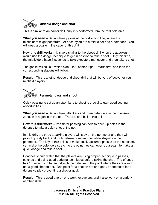

This is similar to an earlier drill, only it is performed from the mid-field area.

**What you need –** Set up three pylons at the restraining line, where the midfielders might penetrate. At each pylon are a midfielder and a defender. You will need a goalie in the cage for this drill.

**How this drill works –** It is very similar to the above drill when the attackers would use the dodge technique to get in position to take a shot. Only this time, the midfielders have 5 seconds to take execute a maneuver and then take a shot.

The goalie will call out which side – left, center, right – starts first, and then the corresponding stations will follow.

**Result –** This is another dodge and shoot drill that will be very effective for you midfield players.

# **Perimeter pass and shoot**

Quick passing to set up an open lane to shoot is crucial to gain good scoring opportunities.

**What you need –** Set up three attackers and three defenders in the offensive zone, with a goalie in the net. There is one ball in this drill.

**How this drill works –** Perimeter passing can help to open up holes in the defense to take a quick shot at the net.

In this drill, the three attacking players will stay on the perimeter and they will pass it quickly back and forth between one another while staying on the perimeter. The key to this drill is to make quick, accurate passes so the attackers can make the defenders stretch to the point they can open up a seam to make a quick dodge and take a shot.

Coaches should watch that the players are using proper technique in passes, catches and using good dodging techniques before taking the shot. The offense has 10 seconds to try and stretch the defense to the point where they are able to get a good shot on net. One point for a shot on net or a goal, or one point for a defensive play preventing a shot or goal.

**Result –** This is good one on one work for players, and it also work on a variety of other skills.

> **- 25 – Lacrosse Drills and Practice Plans © 2006 All Rights Reserved**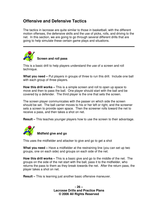# **Offensive and Defensive Tactics**

The tactics in lacrosse are quite similar to those in basketball, with the different motion offenses, the defensive skills and the use of picks, rolls, and driving to the net. In this section, we are going to go through several different drills that are going to help simulate these certain game plays and situations.



#### **Screen and roll pass**

This is a basic drill to help players understand the use of a screen and roll technique.

**What you need –** Put players in groups of three to run this drill. Include one ball with each group of three players.

**How this drill works –** This is a simple screen and roll to open up space to move and then to pass the ball. One player should start with the ball and be covered by a defender. The third player is the one that sets the screen.

The screen player communicates with the passer on which side the screen should be set. The ball carrier moves to his or her left or right, and the screener sets a screen to provide open space. Then the screener rolls toward the net to receive a pass, and then takes a shot on net.

**Result –** This teaches younger players how to use the screen to their advantage.



#### **Midfield give and go**

This uses the midfielder and attacker to give and go to get a shot

**What you need –** Have a midfielder at the restraining line (you can set up two groups, one on each side) and groups on each side of the net.

**How this drill works –** This is a basic give and go to the middle of the net. The groups on the side of the net start with the ball, pass it to the midfielder, who returns the pass to them as they break towards the net. After the return pass, the player takes a shot on net.

**Result –** This is learning just another basic offensive maneuver.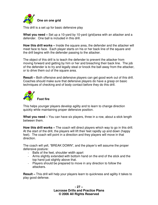

This drill is a set up for basic defensive play

**What you need –** Set up a 10-yard by 10-yard (grid)area with an attacker and a defender. One ball is included in this drill.

**How this drill works –** Inside the square area, the defender and the attacker will meet face to face. Each player starts on his or her back line of the square and the drill begins with the defender passing to the attacker.

The object of this drill is to teach the defender to prevent the attacker from moving forward and getting by him or her and breaching their back line. The job of the defender is to try and legally steal or knock the ball away from the attacker, or to drive them out of the square area.

**Result –** Both offensive and defensive players can get good work out of this drill. Coaches should make sure that defensive players do have a grasp on basic techniques of checking and of body contact before they do this drill.



This helps younger players develop agility and to learn to change direction quickly while maintaining proper defensive position.

**What you need –** You can have six players, three in a row, about a stick length between them.

**How this drill works –** The coach will direct players which way to go in this drill. At the start of the drill, the players will lift their feet rapidly up and down (happy feet). The coach will point in a direction and they players will move in that direction.

The coach will yell, "BREAK DOWN", and the player's will assume the proper defensive posture:

- Balls of the feet, shoulder width apart
- Arms slightly extended with bottom hand on the end of the stick and the top hand just slightly above that.
- Players should be prepared to move in any direction to follow the attackers.

**Result –** This drill will help your players learn to quickness and agility it takes to play good defense.

> **- 27 – Lacrosse Drills and Practice Plans © 2006 All Rights Reserved**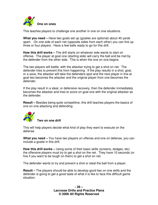

This teaches players to challenge one another in one on one situations.

**What you need –** Have two goals set up (goalies are optional) about 40 yards apart. On one side of each net (opposite sides from each other) you can line up three or four players. Have a few balls ready to go for this drill.

**How this drill works –** The drill starts on whatever side wants to start on offense. The player at goal one (starting side) will carry the ball and be met by the defender from the other side. This is when the one on one begins.

The two players will battle, with the attacker trying to get a shot on net. The defender tries to prevent this from happening. If the play results in a shot, goal, or a save, the attacker will take the defenders spot and the next player in line at goal two becomes the attacker and the original player from one becomes the defender.

If the play result in a steal, or defensive recovery, then the defender immediately becomes the attacker and tries to score on goal one with the original attacker as the defender.

**Result –** Besides being quite competitive, this drill teaches players the basics of one on one attacking and defending.



#### **Two on one drill**

This will help players decide what kind of play they want to execute on the defense.

**What you need –** You have two players on offense and one on defense, you can include a goalie in this drill.

**How this drill works –** Using some of their basic skills (screens, dodges, etc) the offensive players must try to get a shot on the net. They have 10 seconds (or five if you want to be tough on them) to get a shot on net.

The defender wants to try and prevent a shot or steal the ball from a player.

**Result –** The players should be able to develop good two on one skills and the defender is going to get a good taste of what it is like to face this difficult game situation.

> **- 28 – Lacrosse Drills and Practice Plans © 2006 All Rights Reserved**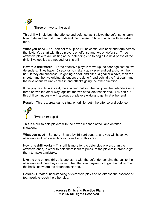

This drill will help both the offense and defense, as it allows the defense to learn how to defend an odd man rush and the offense on how to attack with an extra man.

**What you need –** You can set this up so it runs continuous back and forth across the field. You start with three players on offense and two on defense. Three offensive players are waiting at the defending end to begin the next phase of the drill. Two goalies are needed for this drill.

**How this drill works –** Three offensive players move up the floor against the two defenders. They have 15 seconds to make a quick play and get a shot on the net. If they are successful in getting a shot, and either a goal or a save, then the shooter and the two original defenders are done (head behind the first goal), and the next offensive unit comes in and attacks going the other direction.

If the play results in a steal, the attacker that lost the ball joins the defenders on a three on two the other way, against the two attackers that started. You can run this drill continuously with a groups of players waiting to get in at either end.

**Result** – This is a great game situation drill for both the offense and defense.

**Two on two grid**

This is a drill to help players with their even manned attack and defense situations.

**What you need –** Set up a 15-yard by 15-yard square, and you will have two attackers and two defenders with one ball in this area.

**How this drill works –** This drill is more for the defensive players than the offensive ones, in order to help them learn to pressure the players in order to get them to make a mistake.

Like the one on one drill, this one starts with the defender sending the ball to the attackers and then they close in. The offensive players try to get the ball across the back line where the defenders started.

**Result –** Greater understanding of defensive play and on offense the essence of teamwork to reach the other side.

> **- 29 – Lacrosse Drills and Practice Plans © 2006 All Rights Reserved**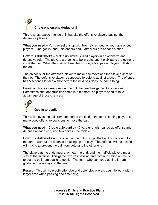

This is a fast-paced intense drill that pits the offensive players against the defensive players.

**What you need –** You can set this up with two nets as long as you have enough players. One goalie, and 6 defenders and 6 attackers are at each station.

**How this drill works –** Match up similar skilled players in an offensive and defensive role. The players are going to be in pairs and the six pairs are going to circle the net. When the coach blows the whistle, a first pair of players will start the drill.

The object is for the offensive player to make one move and then take a shot on the net. The defensive player is supposed to defend against a shot. The offense has 5 seconds to take a shot before the next pair does the same thing.

**Result –** This is a great one on one drill that teaches game like situations. Sometimes shot opportunities come in a moment, so players need to take advantage of those chances.



This drill moves the ball from one end of the field to the other, forcing players to make good offensive decisions to move the ball.

**What you need –** Create a 20-yard by 40-yard grid, with paired up offense and defense at each end, and two pairs in the middle.

**How this drill works –** The object of the drill is to get the ball from one end to the other, without the defense breaking up the play. The defense will be tasked with trying to prevent the ball from getting to the other end.

The players at the ends must stay near the end, and the midfield players must stay at the midfield. This game involves passing and communication on the field to get the ball from goalie to goalie. The team who can keep getting it from goalie to goalie stays on the field.

**Result –** This will help both offensive and defensive players begin to work with a larger area when passing and defending.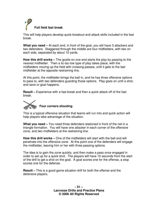

This will help players develop quick breakout and attack skills included in the fast break.

**What you need –** At each end, in front of the goal, you will have 3 attackers and two defenders. Staggered through the middle are four midfielders, with two on each side, separated by about 10 yards.

**How this drill works –** The goalie on one end starts the play by passing to the nearest midfielder. Then a tic-tac-toe type of play takes place, with the midfielders moving up the field with crossing passes, until it gets to the last midfielder at the opposite restraining line.

At this point, the midfielder brings the ball in, and he has three offensive options to pass to, with two defenders guarding those options. Play goes on until a shot, and save or goal happens.

**Result –** Experience with a fast break and then a quick attack off of the fast break.



#### **Four corners shooting**

This is a typical offensive situation that teams will run into and quick action will help players take advantage of the situation.

**What you need –** You need three defenders stationed in front of the net in a triangle formation. You will have one attacker in each corner of the offensive zone, and two midfielders at the restraining line.

**How this drill works –** One of the midfielders will start with the ball and will penetrate into the offensive zone. At this point one of the defenders will engage the midfielder, leaving him or her with three passing options.

The idea is to gain the zone quickly, and then make a pass once engaged in order to set up for a quick shot. The players will have 10 seconds from the start of the drill to get a shot on the goal. A goal scores one for the offense, a stop scores one for the defense.

**Result –** This is a good game situation drill for both the offense and the defensive players.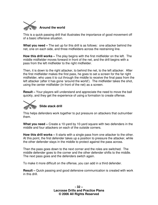

This is a quick passing drill that illustrates the importance of good movement off of a basic offensive situation.

**What you need –** The set up for this drill is as follows: one attacker behind the net, one on each side, and three midfielders across the restraining line.

**How this drill works –** The play begins with the first midfielder on the left. The middle midfielder moves forward in front of the net, and the drill begins with a pass from the left midfielder to the right midfielder.

Then, it is down to the right attacker, to behind the net, to the left attacker. After the first midfielder makes the first pass, he goes to set a screen for the far right midfielder, who uses it to cut through the middle to receive the final pass from the left attacker (after it has gone 'around the world'). The midfielder takes the shot, using the center midfielder (in front of the net) as a screen.

**Result –** Your players will understand and appreciate the need to move the ball quickly, and they get the experience of using a formation to create offense.



**Slide stack drill**

This helps defenders work together to put pressure on attackers that outnumber them.

**What you need –** Create a 10-yard by 10-yard square with two defenders in the middle and four attackers on each of the outside corners.

**How this drill works –** It starts with a single pass from one attacker to the other. At this point, the first defender takes up a position to pressure the attacker, while the other defender stays in the middle to protect against the pass across.

Then the pass goes down to the next corner and the roles are switched. The middle defender goes to the corner and the other defender shifts to the middle. The next pass goes and the defenders switch again.

To make it more difficult on the offense, you can add in a third defender.

**Result –** Quick passing and good defensive communication is created with work in this drill.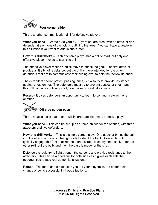

This is another communication drill for defensive players

**What you need –** Create a 30-yard by 30-yard square area, with an attacker and defender at each one of the pylons outlining the area. You can have a goalie in this situation if you want to add in shots later.

**How this drill works –** Each offensive player has a ball to start, but only one offensive player moves to start this drill.

The offensive player makes a quick move to attack the goal. The first attacker provide a little bit of resistance, but the drill is more intended for the other defenders that are to communicate their sliding over to help their fellow defender.

The defenders should protect passing lanes, but also try to provide resistance against shots on net. The defenders must try to prevent passes or shot – and this drill continues until any shot, goal, save or steal takes place.

**Result –** It gives defenders an opportunity to learn to communicate with one another.



#### **Off-side screen pass**

This is a basic tactic that a team will incorporate into many offensive plays.

**What you need –** This can be set up as a three on two for the offense, with three attackers and two defenders.

**How this drill works –** This is a simple screen play. One attacker brings the ball into the offensive zone on the right or left side of the field. A defender will typically engage this first attacker, so then a screen is set by one attacker, for the other (without the ball), and then the pass is made for the shot.

Defenders should try to fight through the screens and provide resistance to the attackers. This can be a good drill for both sides as it gives each side the opportunities to face real game-like situations.

**Result –** The more game-situations you put your players in, the better their chance of being successful in those situations.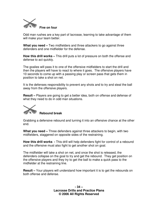

Odd man rushes are a key part of lacrosse, learning to take advantage of them will make your team better.

**What you need –** Two midfielders and three attackers to go against three defenders and one midfielder for the defense.

**How this drill works –** This drill puts a lot of pressure on both the offense and defense to act quickly.

The goalies will pass it to one of the offensive midfielders to start the drill and then the players will have to react to where it goes. The offensive players have 10 seconds to come up with a passing play or screen pass that gets them in position to take a shot on net.

It is the defenses responsibility to prevent any shots and to try and steal the ball away from the offensive players.

**Result –** Players are going to get a better idea, both on offense and defense of what they need to do in odd man situations.

**Rebound break**

Grabbing a defensive rebound and turning it into an offensive chance at the other end.

**What you need –** Three defenders against three attackers to begin, with two midfielders, staggered on opposite sides of the restraining.

**How this drill works -** This drill will help defenders fight for control of a rebound and the offensive must also fight to get another shot on goal.

The midfielder will take a shot on net, and once the shot is released, the defenders collapse on the goal to try and get the rebound. They get position on the offensive players and they try to get the ball to make a quick pass to the midfielder at the restraining line.

**Result –** Your players will understand how important it is to get the rebounds on both offense and defense.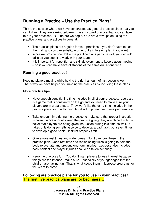# **Running a Practice – Use the Practice Plans!**

This is the section where we have constructed 25 general practice plans that you can follow. They are a **minute-by-minute** structured practice that you can take to run your practices. But, before we begin, here are a few tips on using the practice plans, and practices in general.

- The practice plans are a guide for your practices you don't have to use them all, and you can substitute other drills in to each plan if you want.
- While we provide one drill in the practice plans per time slot, you can add drills as you see fit to work with your team.
- It is important for repetition and skill development to keep players moving – so if you can have several stations of the same drill at one time.

#### **Running a good practice!**

Keeping players moving while having the right amount of instruction is key. That's why we have helped you running the practices by including these plans.

#### **More practice tips**

- Have enough conditioning time included in all of your practices. Lacrosse is a game that is constantly on the go and you need to make sure your players are in great shape. They won't like the extra time included in the practice plans for conditioning, but it will improve their game performance.
- Take enough time during the practice to make sure that proper instruction is given. While our drills keep the practice going, they are placed with the belief that players are being given instruction during this time as well. It takes only doing something twice to develop a bad habit, but seven times to develop a good habit – instruct properly first!
- Give ample rest times and water times. Don't overlook these in the practice plan. Good rest time and replenishing fluids is going to help the body rejuvenate and prevent long-term injuries. Lacrosse also includes body contact and player injuries should be taken seriously.
- Keep the practices fun! You don't want players to lose interest because things are too intense. Make sure – especially at younger ages that the children are having fun. That is what keeps them in lacrosse programs for the years to come.

#### **Following are practice plans for you to use in your practices! The first five practice plans are for beginners…**

**- 35 – Lacrosse Drills and Practice Plans © 2006 All Rights Reserved**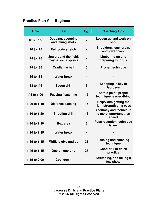### **Practice Plan #1 – Beginner**

| <b>Time</b>  | <b>Drill</b>                                | Pg. | <b>Coaching Tips</b>                                             |
|--------------|---------------------------------------------|-----|------------------------------------------------------------------|
| 00 to :10    | Dodging, scooping<br>and taking shots       |     | Loosen up and work on<br>shot                                    |
| :10 to :15   | <b>Full body stretch</b>                    |     | Shoulders, legs, groin,<br>and lower back                        |
| :15 to :25   | Jog around the field,<br>maybe some sprints |     | Limbering up and<br>preparing for drills                         |
| :25 to :35   | <b>Cradle the ball</b>                      | 5   | <b>Proper technique</b>                                          |
| :35 to :38   | <b>Water break</b>                          |     |                                                                  |
| :38 to :45   | <b>Scoop drill</b>                          | 6   | Scooping is key in<br>lacrosse                                   |
| :45 to 1:00  | Passing / catching                          | 15  | At this point, proper<br>technique is everything                 |
| 1:00 to 1:10 | <b>Distance passing</b>                     | 15  | Helps with getting the<br>right strength on a pass               |
| 1:10 to 1:20 | <b>Shooting drill</b>                       | 16  | <b>Accuracy and technique</b><br>is more important than<br>speed |
| 1:20 to 1:30 | <b>Box area</b>                             | 6   | Pass reception technique<br>is key                               |
| 1:30 to 1:35 | <b>Water break</b>                          |     |                                                                  |
| 1:35 to 1:45 | Midfield give and go                        | 26  | <b>Passing and catching</b><br>technique                         |
| 1:45 to 1:55 | One on one grid                             | 27  | <b>Good drill to finish</b><br>practice                          |
| 1:55 to 2:00 | <b>Cool down</b>                            |     | Stretching, and taking a<br>few shots                            |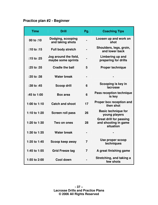### **Practice plan #2 - Beginner**

| <b>Time</b>  | <b>Drill</b>                                | Pg.            | <b>Coaching Tips</b>                                                |
|--------------|---------------------------------------------|----------------|---------------------------------------------------------------------|
| 00 to :10    | Dodging, scooping<br>and taking shots       |                | Loosen up and work on<br>shot                                       |
| $:10$ to :15 | <b>Full body stretch</b>                    |                | Shoulders, legs, groin,<br>and lower back                           |
| :15 to :25   | Jog around the field,<br>maybe some sprints |                | Limbering up and<br>preparing for drills                            |
| :25 to :35   | <b>Cradle the ball</b>                      | 5              | <b>Proper technique</b>                                             |
| :35 to :38   | <b>Water break</b>                          | $\blacksquare$ |                                                                     |
| :38 to :45   | <b>Scoop drill</b>                          | 6              | Scooping is key in<br>lacrosse                                      |
| :45 to 1:00  | <b>Box area</b>                             | 6              | <b>Pass reception technique</b><br>is key                           |
| 1:00 to 1:10 | <b>Catch and shoot</b>                      | 17             | <b>Proper box reception and</b><br>then shot                        |
| 1:10 to 1:20 | <b>Screen roll pass</b>                     | 26             | <b>Basic technique for</b><br>young players                         |
| 1:20 to 1:30 | Two on ones                                 | 28             | <b>Great drill for passing</b><br>and shooting in game<br>situation |
| 1:30 to 1:35 | <b>Water break</b>                          |                |                                                                     |
| 1:35 to 1:45 | Scoop keep away                             | 7              | Use proper scoop<br>techniques                                      |
| 1:45 to 1:55 | <b>Grid Freeze tag</b>                      | $\overline{7}$ | A great finishing game                                              |
| 1:55 to 2:00 | Cool down                                   |                | Stretching, and taking a<br>few shots                               |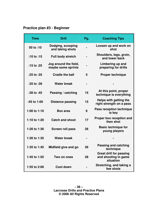# **Practice plan #3 - Beginner**

| <b>Time</b>  | <b>Drill</b>                                | Pg. | <b>Coaching Tips</b>                                                |
|--------------|---------------------------------------------|-----|---------------------------------------------------------------------|
| 00 to :10    | Dodging, scooping<br>and taking shots       |     | Loosen up and work on<br>shot                                       |
| $:10$ to :15 | <b>Full body stretch</b>                    |     | Shoulders, legs, groin,<br>and lower back                           |
| :15 to :25   | Jog around the field,<br>maybe some sprints |     | Limbering up and<br>preparing for drills                            |
| :25 to :35   | <b>Cradle the ball</b>                      | 5   | <b>Proper technique</b>                                             |
| :35 to :38   | <b>Water break</b>                          |     |                                                                     |
| :38 to :45   | Passing / catching                          | 15  | At this point, proper<br>technique is everything                    |
| :45 to 1:00  | <b>Distance passing</b>                     | 15  | Helps with getting the<br>right strength on a pass                  |
| 1:00 to 1:10 | <b>Box area</b>                             | 6   | <b>Pass reception technique</b><br>is key                           |
| 1:10 to 1:20 | <b>Catch and shoot</b>                      | 17  | Proper box reception and<br>then shot                               |
| 1:20 to 1:30 | <b>Screen roll pass</b>                     | 26  | <b>Basic technique for</b><br>young players                         |
| 1:30 to 1:35 | <b>Water break</b>                          |     |                                                                     |
| 1:35 to 1:45 | Midfield give and go                        | 26  | <b>Passing and catching</b><br>technique                            |
| 1:45 to 1:55 | Two on ones                                 | 28  | <b>Great drill for passing</b><br>and shooting in game<br>situation |
| 1:55 to 2:00 | Cool down                                   |     | Stretching, and taking a<br>few shots                               |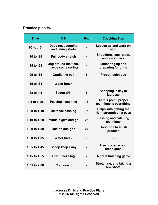# **Practice plan #4**

| <b>Time</b>    | <b>Drill</b>                                | Pg. | <b>Coaching Tips</b>                               |
|----------------|---------------------------------------------|-----|----------------------------------------------------|
| 00 to :10      | Dodging, scooping<br>and taking shots       |     | Loosen up and work on<br>shot                      |
| :10 to :15     | <b>Full body stretch</b>                    |     | Shoulders, legs, groin,<br>and lower back          |
| $:15$ to $:25$ | Jog around the field,<br>maybe some sprints |     | Limbering up and<br>preparing for drills           |
| :25 to :35     | <b>Cradle the ball</b>                      | 5   | <b>Proper technique</b>                            |
| :35 to :38     | <b>Water break</b>                          |     |                                                    |
| :38 to :45     | <b>Scoop drill</b>                          | 6   | Scooping is key in<br>lacrosse                     |
| :45 to 1:00    | Passing / catching                          | 15  | At this point, proper<br>technique is everything   |
| 1:00 to 1:10   | <b>Distance passing</b>                     | 15  | Helps with getting the<br>right strength on a pass |
| 1:10 to 1:20   | Midfield give and go                        | 26  | <b>Passing and catching</b><br>technique           |
| 1:20 to 1:30   | One on one grid                             | 27  | <b>Good drill to finish</b><br>practice            |
| 1:30 to 1:35   | <b>Water break</b>                          |     |                                                    |
| 1:35 to 1:45   | Scoop keep away                             | 7   | Use proper scoop<br>techniques                     |
| 1:45 to 1:55   | <b>Grid Freeze tag</b>                      | 7   | A great finishing game                             |
| 1:55 to 2:00   | <b>Cool down</b>                            |     | Stretching, and taking a<br>few shots              |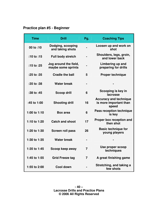# **Practice plan #5 - Beginner**

| <b>Time</b>    | <b>Drill</b>                                | Pg.            | <b>Coaching Tips</b>                                             |
|----------------|---------------------------------------------|----------------|------------------------------------------------------------------|
| 00 to :10      | Dodging, scooping<br>and taking shots       |                | Loosen up and work on<br>shot                                    |
| $:10$ to :15   | <b>Full body stretch</b>                    |                | Shoulders, legs, groin,<br>and lower back                        |
| $:15$ to $:25$ | Jog around the field,<br>maybe some sprints |                | Limbering up and<br>preparing for drills                         |
| :25 to :35     | <b>Cradle the ball</b>                      | 5              | <b>Proper technique</b>                                          |
| :35 to :38     | <b>Water break</b>                          |                |                                                                  |
| :38 to :45     | <b>Scoop drill</b>                          | 6              | Scooping is key in<br>lacrosse                                   |
| :45 to 1:00    | <b>Shooting drill</b>                       | 16             | <b>Accuracy and technique</b><br>is more important than<br>speed |
| 1:00 to 1:10   | <b>Box area</b>                             | 6              | <b>Pass reception technique</b><br>is key                        |
| 1:10 to 1:20   | <b>Catch and shoot</b>                      | 17             | Proper box reception and<br>then shot                            |
| 1:20 to 1:30   | <b>Screen roll pass</b>                     | 26             | <b>Basic technique for</b><br>young players                      |
| 1:30 to 1:35   | <b>Water break</b>                          |                |                                                                  |
| 1:35 to 1:45   | Scoop keep away                             | $\overline{7}$ | Use proper scoop<br>techniques                                   |
| 1:45 to 1:55   | <b>Grid Freeze tag</b>                      | $\overline{7}$ | A great finishing game                                           |
| 1:55 to 2:00   | <b>Cool down</b>                            |                | Stretching, and taking a<br>few shots                            |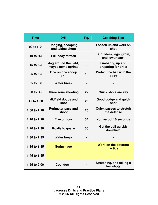| <b>Time</b>  | <b>Drill</b>                                | Pg. | <b>Coaching Tips</b>                          |
|--------------|---------------------------------------------|-----|-----------------------------------------------|
| 00 to :10    | Dodging, scooping<br>and taking shots       |     | Loosen up and work on<br>shot                 |
| :10 to :15   | <b>Full body stretch</b>                    |     | Shoulders, legs, groin,<br>and lower back     |
| :15 to $:25$ | Jog around the field,<br>maybe some sprints |     | Limbering up and<br>preparing for drills      |
| :25 to :35   | One on one scoop<br>drill                   | 10  | <b>Protect the ball with the</b><br>body      |
| :35 to :38   | <b>Water break</b>                          |     |                                               |
| :38 to :45   | Three zone shooting                         | 22  | <b>Quick shots are key</b>                    |
| :45 to 1:00  | <b>Midfield dodge and</b><br>shot           | 25  | Good dodge and quick<br>shot                  |
| 1:00 to 1:10 | Perimeter pass and<br>shoot                 | 25  | <b>Quick passes to stretch</b><br>the defense |
| 1:10 to 1:20 | Five on four                                | 34  | You've got 10 seconds                         |
| 1:20 to 1:30 | <b>Goalie to goalie</b>                     | 30  | Get the ball quickly<br>downfield             |
| 1:30 to 1:35 | <b>Water break</b>                          |     |                                               |
| 1:35 to 1:45 | <b>Scrimmage</b>                            |     | <b>Work on the different</b><br>tactics       |
| 1:45 to 1:55 |                                             |     |                                               |
| 1:55 to 2:00 | Cool down                                   |     | Stretching, and taking a<br>few shots         |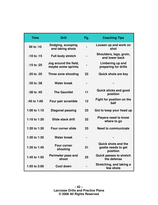| <b>Time</b>  | <b>Drill</b>                                | Pg. | <b>Coaching Tips</b>                                          |
|--------------|---------------------------------------------|-----|---------------------------------------------------------------|
| 00 to :10    | Dodging, scooping<br>and taking shots       |     | Loosen up and work on<br>shot                                 |
| $:10$ to :15 | <b>Full body stretch</b>                    |     | Shoulders, legs, groin,<br>and lower back                     |
| :15 to :25   | Jog around the field,<br>maybe some sprints |     | Limbering up and<br>preparing for drills                      |
| :25 to :35   | Three zone shooting                         | 22  | <b>Quick shots are key</b>                                    |
| :35 to :38   | <b>Water break</b>                          |     |                                                               |
| :38 to :45   | <b>The Gauntlet</b>                         | 11  | <b>Quick sticks and good</b><br>position                      |
| :45 to 1:00  | Four pair scramble                          | 12  | Fight for position on the<br>ball                             |
| 1:00 to 1:10 | <b>Diagonal passing</b>                     | 23  | Got to keep your head up                                      |
| 1:10 to 1:20 | Slide stack drill                           | 32  | <b>Players need to know</b><br>where to go                    |
| 1:20 to 1:30 | <b>Four corner slide</b>                    | 33  | <b>Need to communicate</b>                                    |
| 1:30 to 1:35 | <b>Water break</b>                          |     |                                                               |
| 1:35 to 1:45 | <b>Four corner</b><br>shooting              | 31  | <b>Quick shots and the</b><br>goalie needs to get<br>position |
| 1:45 to 1:55 | <b>Perimeter pass and</b><br>shoot          | 25  | <b>Quick passes to stretch</b><br>the defense                 |
| 1:55 to 2:00 | Cool down                                   |     | Stretching, and taking a<br>few shots                         |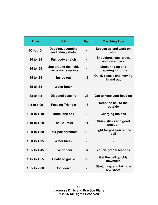| <b>Time</b>  | <b>Drill</b>                                | Pg. | <b>Coaching Tips</b>                         |
|--------------|---------------------------------------------|-----|----------------------------------------------|
| 00 to :10    | Dodging, scooping<br>and taking shots       |     | Loosen up and work on<br>shot                |
| :10 to :15   | <b>Full body stretch</b>                    |     | Shoulders, legs, groin,<br>and lower back    |
| :15 to :25   | Jog around the field,<br>maybe some sprints |     | Limbering up and<br>preparing for drills     |
| :25 to :35   | Inside out                                  | 18  | <b>Quick passes and moving</b><br>in and out |
| :35 to :38   | <b>Water break</b>                          |     |                                              |
| :38 to :45   | <b>Diagonal passing</b>                     | 23  | Got to keep your head up                     |
| :45 to 1:00  | <b>Passing Triangle</b>                     | 18  | Keep the ball to the<br>outside              |
| 1:00 to 1:10 | <b>Attack the ball</b>                      | 8   | <b>Charging the ball</b>                     |
| 1:10 to 1:20 | <b>The Gauntlet</b>                         | 11  | <b>Quick sticks and good</b><br>position     |
| 1:20 to 1:30 | Four pair scramble                          | 12  | Fight for position on the<br>ball            |
| 1:30 to 1:35 | <b>Water break</b>                          |     |                                              |
| 1:35 to 1:45 | Five on four                                | 34  | You've got 10 seconds                        |
| 1:45 to 1:55 | <b>Goalie to goalie</b>                     | 30  | Get the ball quickly<br>downfield            |
| 1:55 to 2:00 | Cool down                                   |     | Stretching, and taking a<br>few shots        |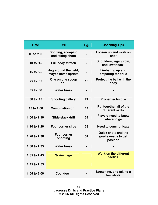| <b>Time</b>  | <b>Drill</b>                                | Pg. | <b>Coaching Tips</b>                                          |
|--------------|---------------------------------------------|-----|---------------------------------------------------------------|
| 00 to :10    | Dodging, scooping<br>and taking shots       |     | Loosen up and work on<br>shot                                 |
| :10 to :15   | <b>Full body stretch</b>                    |     | Shoulders, legs, groin,<br>and lower back                     |
| :15 to :25   | Jog around the field,<br>maybe some sprints |     | Limbering up and<br>preparing for drills                      |
| :25 to :35   | One on one scoop<br>drill                   | 10  | <b>Protect the ball with the</b><br>body                      |
| :35 to :38   | <b>Water break</b>                          |     |                                                               |
| :38 to :45   | <b>Shooting gallery</b>                     | 21  | <b>Proper technique</b>                                       |
| :45 to 1:00  | <b>Combination drill</b>                    | 14  | Put together all of the<br>different skills                   |
| 1:00 to 1:10 | Slide stack drill                           | 32  | <b>Players need to know</b><br>where to go                    |
| 1:10 to 1:20 | <b>Four corner slide</b>                    | 33  | <b>Need to communicate</b>                                    |
| 1:20 to 1:30 | <b>Four corner</b><br>shooting              | 31  | <b>Quick shots and the</b><br>goalie needs to get<br>position |
| 1:30 to 1:35 | <b>Water break</b>                          |     |                                                               |
| 1:35 to 1:45 | <b>Scrimmage</b>                            |     | <b>Work on the different</b><br>tactics                       |
| 1:45 to 1:55 |                                             |     |                                                               |
| 1:55 to 2:00 | <b>Cool down</b>                            |     | Stretching, and taking a<br>few shots                         |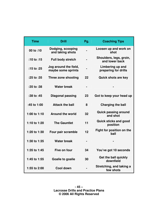| <b>Time</b>  | <b>Drill</b>                                | Pg. | <b>Coaching Tips</b>                      |
|--------------|---------------------------------------------|-----|-------------------------------------------|
| 00 to :10    | Dodging, scooping<br>and taking shots       |     | Loosen up and work on<br>shot             |
| :10 to :15   | <b>Full body stretch</b>                    |     | Shoulders, legs, groin,<br>and lower back |
| :15 to :25   | Jog around the field,<br>maybe some sprints |     | Limbering up and<br>preparing for drills  |
| :25 to :35   | Three zone shooting                         | 22  | <b>Quick shots are key</b>                |
| :35 to :38   | <b>Water break</b>                          |     |                                           |
| :38 to :45   | <b>Diagonal passing</b>                     | 23  | Got to keep your head up                  |
| :45 to 1:00  | <b>Attack the ball</b>                      | 8   | <b>Charging the ball</b>                  |
| 1:00 to 1:10 | <b>Around the world</b>                     | 32  | <b>Quick passing around</b><br>and shot   |
| 1:10 to 1:20 | <b>The Gauntlet</b>                         | 11  | <b>Quick sticks and good</b><br>position  |
| 1:20 to 1:30 | Four pair scramble                          | 12  | Fight for position on the<br>ball         |
| 1:30 to 1:35 | <b>Water break</b>                          |     |                                           |
| 1:35 to 1:45 | Five on four                                | 34  | You've got 10 seconds                     |
| 1:45 to 1:55 | <b>Goalie to goalie</b>                     | 30  | Get the ball quickly<br>downfield         |
| 1:55 to 2:00 | <b>Cool down</b>                            |     | Stretching, and taking a<br>few shots     |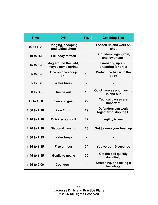| <b>Time</b>  | <b>Drill</b>                                | Pg. | <b>Coaching Tips</b>                         |
|--------------|---------------------------------------------|-----|----------------------------------------------|
| 00 to :10    | Dodging, scooping<br>and taking shots       |     | Loosen up and work on<br>shot                |
| $:10$ to :15 | <b>Full body stretch</b>                    |     | Shoulders, legs, groin,<br>and lower back    |
| :15 to :25   | Jog around the field,<br>maybe some sprints |     | Limbering up and<br>preparing for drills     |
| :25 to :35   | One on one scoop<br>drill                   | 10  | <b>Protect the ball with the</b><br>body     |
| :35 to :38   | <b>Water break</b>                          |     |                                              |
| :38 to :45   | Inside out                                  | 18  | <b>Quick passes and moving</b><br>in and out |
| :45 to 1:00  | 3 on 2 to goal                              | 29  | <b>Tactical passes are</b><br>important      |
| 1:00 to 1:10 | 2 on 2 grid                                 | 29  | Defenders can work<br>together to stop the O |
| 1:10 to 1:20 | <b>Quick scoop drill</b>                    | 12  | <b>Agility is key</b>                        |
| 1:20 to 1:30 | Diagonal passing                            | 23  | Got to keep your head up                     |
| 1:30 to 1:35 | <b>Water break</b>                          |     |                                              |
| 1:35 to 1:45 | Five on four                                | 34  | You've got 10 seconds                        |
| 1:45 to 1:55 | <b>Goalie to goalie</b>                     | 30  | Get the ball quickly<br>downfield            |
| 1:55 to 2:00 | <b>Cool down</b>                            |     | Stretching, and taking a<br>few shots        |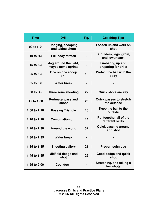| <b>Time</b>  | <b>Drill</b>                                | Pg. | <b>Coaching Tips</b>                          |
|--------------|---------------------------------------------|-----|-----------------------------------------------|
| 00 to :10    | Dodging, scooping<br>and taking shots       |     | Loosen up and work on<br>shot                 |
| $:10$ to :15 | <b>Full body stretch</b>                    |     | Shoulders, legs, groin,<br>and lower back     |
| :15 to :25   | Jog around the field,<br>maybe some sprints |     | Limbering up and<br>preparing for drills      |
| :25 to :35   | One on one scoop<br>drill                   | 10  | <b>Protect the ball with the</b><br>body      |
| :35 to :38   | <b>Water break</b>                          |     |                                               |
| :38 to :45   | Three zone shooting                         | 22  | <b>Quick shots are key</b>                    |
| :45 to 1:00  | <b>Perimeter pass and</b><br>shoot          | 25  | <b>Quick passes to stretch</b><br>the defense |
| 1:00 to 1:10 | <b>Passing Triangle</b>                     | 18  | Keep the ball to the<br>outside               |
| 1:10 to 1:20 | <b>Combination drill</b>                    | 14  | Put together all of the<br>different skills   |
| 1:20 to 1:30 | <b>Around the world</b>                     | 32  | <b>Quick passing around</b><br>and shot       |
| 1:30 to 1:35 | <b>Water break</b>                          |     |                                               |
| 1:35 to 1:45 | <b>Shooting gallery</b>                     | 21  | <b>Proper technique</b>                       |
| 1:45 to 1:55 | <b>Midfield dodge and</b><br>shot           | 25  | Good dodge and quick<br>shot                  |
| 1:55 to 2:00 | <b>Cool down</b>                            |     | Stretching, and taking a<br>few shots         |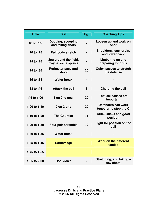| <b>Time</b>  | <b>Drill</b>                                | Pg. | <b>Coaching Tips</b>                           |
|--------------|---------------------------------------------|-----|------------------------------------------------|
| 00 to :10    | Dodging, scooping<br>and taking shots       |     | Loosen up and work on<br>shot                  |
| :10 to :15   | <b>Full body stretch</b>                    |     | Shoulders, legs, groin,<br>and lower back      |
| :15 to :25   | Jog around the field,<br>maybe some sprints |     | Limbering up and<br>preparing for drills       |
| :25 to :35   | <b>Perimeter pass and</b><br>shoot          | 25  | <b>Quick passes to stretch</b><br>the defense  |
| :35 to :38   | <b>Water break</b>                          |     |                                                |
| :38 to :45   | <b>Attack the ball</b>                      | 8   | <b>Charging the ball</b>                       |
| :45 to 1:00  | 3 on 2 to goal                              | 29  | <b>Tactical passes are</b><br>important        |
| 1:00 to 1:10 | 2 on 2 grid                                 | 29  | Defenders can work<br>together to stop the O   |
| 1:10 to 1:20 | <b>The Gauntlet</b>                         | 11  | <b>Quick sticks and good</b><br>position       |
| 1:20 to 1:30 | Four pair scramble                          | 12  | Fight for position on the<br>ball              |
| 1:30 to 1:35 | <b>Water break</b>                          |     |                                                |
| 1:35 to 1:45 | <b>Scrimmage</b>                            |     | <b>Work on the different</b><br><b>tactics</b> |
| 1:45 to 1:55 |                                             |     |                                                |
| 1:55 to 2:00 | <b>Cool down</b>                            |     | Stretching, and taking a<br>few shots          |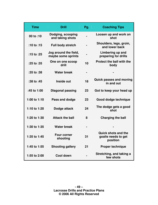| <b>Time</b>  | <b>Drill</b>                                | Pg.                          | <b>Coaching Tips</b>                                          |
|--------------|---------------------------------------------|------------------------------|---------------------------------------------------------------|
| 00 to :10    | Dodging, scooping<br>and taking shots       |                              | Loosen up and work on<br>shot                                 |
| $:10$ to :15 | Full body stretch                           |                              | Shoulders, legs, groin,<br>and lower back                     |
| :15 to :25   | Jog around the field,<br>maybe some sprints |                              | Limbering up and<br>preparing for drills                      |
| :25 to :35   | One on one scoop<br>drill                   | 10                           | <b>Protect the ball with the</b><br>body                      |
| :35 to :38   | <b>Water break</b>                          | $\qquad \qquad \blacksquare$ |                                                               |
| :38 to :45   | Inside out                                  | 18                           | <b>Quick passes and moving</b><br>in and out                  |
| :45 to 1:00  | <b>Diagonal passing</b>                     | 23                           | Got to keep your head up                                      |
| 1:00 to 1:10 | Pass and dodge                              | 23                           | Good dodge technique                                          |
| 1:10 to 1:20 | Dodge attack                                | 24                           | The dodge gets a good<br>shot                                 |
| 1:20 to 1:30 | <b>Attack the ball</b>                      | 8                            | <b>Charging the ball</b>                                      |
| 1:30 to 1:35 | <b>Water break</b>                          |                              |                                                               |
| 1:35 to 1:45 | <b>Four corner</b><br>shooting              | 31                           | <b>Quick shots and the</b><br>goalie needs to get<br>position |
| 1:45 to 1:55 | <b>Shooting gallery</b>                     | 21                           | <b>Proper technique</b>                                       |
| 1:55 to 2:00 | <b>Cool down</b>                            |                              | Stretching, and taking a<br>few shots                         |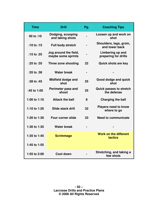| <b>Time</b>  | <b>Drill</b>                                | Pg. | <b>Coaching Tips</b>                          |
|--------------|---------------------------------------------|-----|-----------------------------------------------|
| 00 to :10    | Dodging, scooping<br>and taking shots       |     | Loosen up and work on<br>shot                 |
| $:10$ to :15 | <b>Full body stretch</b>                    |     | Shoulders, legs, groin,<br>and lower back     |
| :15 to $:25$ | Jog around the field,<br>maybe some sprints |     | Limbering up and<br>preparing for drills      |
| :25 to :35   | Three zone shooting                         | 22  | <b>Quick shots are key</b>                    |
| :35 to :38   | <b>Water break</b>                          |     |                                               |
| :38 to :45   | Midfield dodge and<br>shot                  | 25  | Good dodge and quick<br>shot                  |
| :45 to 1:00  | <b>Perimeter pass and</b><br>shoot          | 25  | <b>Quick passes to stretch</b><br>the defense |
| 1:00 to 1:10 | <b>Attack the ball</b>                      | 8   | <b>Charging the ball</b>                      |
| 1:10 to 1:20 | Slide stack drill                           | 32  | <b>Players need to know</b><br>where to go    |
| 1:20 to 1:30 | <b>Four corner slide</b>                    | 33  | <b>Need to communicate</b>                    |
| 1:30 to 1:35 | <b>Water break</b>                          |     |                                               |
| 1:35 to 1:45 | <b>Scrimmage</b>                            |     | <b>Work on the different</b><br>tactics       |
| 1:45 to 1:55 |                                             |     |                                               |
| 1:55 to 2:00 | <b>Cool down</b>                            |     | Stretching, and taking a<br>few shots         |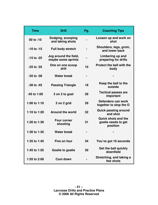| <b>Time</b>  | <b>Drill</b>                                | Pg. | <b>Coaching Tips</b>                                          |
|--------------|---------------------------------------------|-----|---------------------------------------------------------------|
| 00 to :10    | Dodging, scooping<br>and taking shots       |     | Loosen up and work on<br>shot                                 |
| $:10$ to :15 | <b>Full body stretch</b>                    |     | Shoulders, legs, groin,<br>and lower back                     |
| :15 to $:25$ | Jog around the field,<br>maybe some sprints |     | Limbering up and<br>preparing for drills                      |
| :25 to :35   | One on one scoop<br>drill                   | 10  | <b>Protect the ball with the</b><br>body                      |
| :35 to :38   | <b>Water break</b>                          |     |                                                               |
| :38 to :45   | <b>Passing Triangle</b>                     | 18  | Keep the ball to the<br>outside                               |
| :45 to 1:00  | 3 on 2 to goal                              | 29  | <b>Tactical passes are</b><br>important                       |
| 1:00 to 1:10 | 2 on 2 grid                                 | 29  | Defenders can work<br>together to stop the O                  |
| 1:10 to 1:20 | <b>Around the world</b>                     | 32  | <b>Quick passing around</b><br>and shot                       |
| 1:20 to 1:30 | <b>Four corner</b><br>shooting              | 31  | <b>Quick shots and the</b><br>goalie needs to get<br>position |
| 1:30 to 1:35 | <b>Water break</b>                          |     |                                                               |
| 1:35 to 1:45 | Five on four                                | 34  | You've got 10 seconds                                         |
| 1:45 to 1:55 | Goalie to goalie                            | 30  | Get the ball quickly<br>downfield                             |
| 1:55 to 2:00 | <b>Cool down</b>                            |     | Stretching, and taking a<br>few shots                         |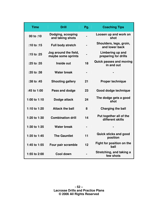| <b>Time</b>  | <b>Drill</b>                                | Pg. | <b>Coaching Tips</b>                         |
|--------------|---------------------------------------------|-----|----------------------------------------------|
| 00 to :10    | Dodging, scooping<br>and taking shots       |     | Loosen up and work on<br>shot                |
| $:10$ to :15 | <b>Full body stretch</b>                    |     | Shoulders, legs, groin,<br>and lower back    |
| :15 to :25   | Jog around the field,<br>maybe some sprints |     | Limbering up and<br>preparing for drills     |
| :25 to :35   | Inside out                                  | 18  | <b>Quick passes and moving</b><br>in and out |
| :35 to :38   | <b>Water break</b>                          |     |                                              |
| :38 to :45   | <b>Shooting gallery</b>                     | 21  | <b>Proper technique</b>                      |
| :45 to 1:00  | Pass and dodge                              | 23  | Good dodge technique                         |
| 1:00 to 1:10 | Dodge attack                                | 24  | The dodge gets a good<br>shot                |
| 1:10 to 1:20 | <b>Attack the ball</b>                      | 8   | <b>Charging the ball</b>                     |
| 1:20 to 1:30 | <b>Combination drill</b>                    | 14  | Put together all of the<br>different skills  |
| 1:30 to 1:35 | <b>Water break</b>                          |     |                                              |
| 1:35 to 1:45 | <b>The Gauntlet</b>                         | 11  | <b>Quick sticks and good</b><br>position     |
| 1:45 to 1:55 | Four pair scramble                          | 12  | Fight for position on the<br>ball            |
| 1:55 to 2:00 | <b>Cool down</b>                            |     | Stretching, and taking a<br>few shots        |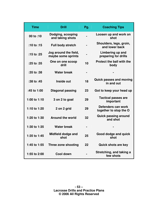| <b>Time</b>  | <b>Drill</b>                                | Pg. | <b>Coaching Tips</b>                         |
|--------------|---------------------------------------------|-----|----------------------------------------------|
| 00 to :10    | Dodging, scooping<br>and taking shots       |     | Loosen up and work on<br>shot                |
| $:10$ to :15 | Full body stretch                           |     | Shoulders, legs, groin,<br>and lower back    |
| :15 to :25   | Jog around the field,<br>maybe some sprints |     | Limbering up and<br>preparing for drills     |
| :25 to :35   | One on one scoop<br>drill                   | 10  | Protect the ball with the<br>body            |
| :35 to :38   | <b>Water break</b>                          |     |                                              |
| :38 to :45   | Inside out                                  | 18  | <b>Quick passes and moving</b><br>in and out |
| :45 to 1:00  | <b>Diagonal passing</b>                     | 23  | Got to keep your head up                     |
| 1:00 to 1:10 | 3 on 2 to goal                              | 29  | <b>Tactical passes are</b><br>important      |
| 1:10 to 1:20 | 2 on 2 grid                                 | 29  | Defenders can work<br>together to stop the O |
| 1:20 to 1:30 | <b>Around the world</b>                     | 32  | <b>Quick passing around</b><br>and shot      |
| 1:30 to 1:35 | <b>Water break</b>                          |     |                                              |
| 1:35 to 1:45 | <b>Midfield dodge and</b><br>shot           | 25  | Good dodge and quick<br>shot                 |
| 1:45 to 1:55 | Three zone shooting                         | 22  | <b>Quick shots are key</b>                   |
| 1:55 to 2:00 | Cool down                                   |     | Stretching, and taking a<br>few shots        |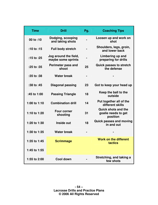| <b>Time</b>  | <b>Drill</b>                                | Pg.                          | <b>Coaching Tips</b>                                          |
|--------------|---------------------------------------------|------------------------------|---------------------------------------------------------------|
| 00 to :10    | Dodging, scooping<br>and taking shots       |                              | Loosen up and work on<br>shot                                 |
| $:10$ to :15 | <b>Full body stretch</b>                    |                              | Shoulders, legs, groin,<br>and lower back                     |
| :15 to :25   | Jog around the field,<br>maybe some sprints |                              | Limbering up and<br>preparing for drills                      |
| :25 to :35   | Perimeter pass and<br>shoot                 | 25                           | <b>Quick passes to stretch</b><br>the defense                 |
| :35 to :38   | <b>Water break</b>                          | $\qquad \qquad \blacksquare$ |                                                               |
| :38 to :45   | <b>Diagonal passing</b>                     | 23                           | Got to keep your head up                                      |
| :45 to 1:00  | <b>Passing Triangle</b>                     | 18                           | Keep the ball to the<br>outside                               |
| 1:00 to 1:10 | <b>Combination drill</b>                    | 14                           | Put together all of the<br>different skills                   |
| 1:10 to 1:20 | <b>Four corner</b><br>shooting              | 31                           | <b>Quick shots and the</b><br>goalie needs to get<br>position |
| 1:20 to 1:30 | Inside out                                  | 18                           | <b>Quick passes and moving</b><br>in and out                  |
| 1:30 to 1:35 | <b>Water break</b>                          |                              |                                                               |
| 1:35 to 1:45 | <b>Scrimmage</b>                            |                              | <b>Work on the different</b><br>tactics                       |
| 1:45 to 1:55 |                                             |                              |                                                               |
| 1:55 to 2:00 | <b>Cool down</b>                            |                              | Stretching, and taking a<br>few shots                         |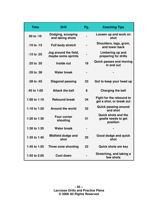| <b>Time</b>  | <b>Drill</b>                                | Pg. | <b>Coaching Tips</b>                                          |
|--------------|---------------------------------------------|-----|---------------------------------------------------------------|
| 00 to :10    | Dodging, scooping<br>and taking shots       |     | Loosen up and work on<br>shot                                 |
| $:10$ to :15 | <b>Full body stretch</b>                    |     | Shoulders, legs, groin,<br>and lower back                     |
| :15 to :25   | Jog around the field,<br>maybe some sprints |     | Limbering up and<br>preparing for drills                      |
| :25 to :35   | Inside out                                  | 18  | <b>Quick passes and moving</b><br>in and out                  |
| :35 to :38   | <b>Water break</b>                          |     |                                                               |
| :38 to :45   | <b>Diagonal passing</b>                     | 23  | Got to keep your head up                                      |
| :45 to 1:00  | <b>Attack the ball</b>                      | 8   | <b>Charging the ball</b>                                      |
| 1:00 to 1:10 | <b>Rebound break</b>                        | 34  | Fight for the rebound to<br>get a shot, or break out          |
| 1:10 to 1:20 | <b>Around the world</b>                     | 32  | <b>Quick passing around</b><br>and shot                       |
| 1:20 to 1:30 | <b>Four corner</b><br>shooting              | 31  | <b>Quick shots and the</b><br>goalie needs to get<br>position |
| 1:30 to 1:35 | <b>Water break</b>                          |     |                                                               |
| 1:35 to 1:45 | Midfield dodge and<br>shot                  | 25  | Good dodge and quick<br>shot                                  |
| 1:45 to 1:55 | Three zone shooting                         | 22  | <b>Quick shots are key</b>                                    |
| 1:55 to 2:00 | Cool down                                   |     | Stretching, and taking a<br>few shots                         |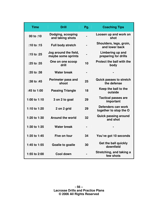| <b>Time</b>  | <b>Drill</b>                                | Pg. | <b>Coaching Tips</b>                          |
|--------------|---------------------------------------------|-----|-----------------------------------------------|
| 00 to :10    | Dodging, scooping<br>and taking shots       |     | Loosen up and work on<br>shot                 |
| $:10$ to :15 | <b>Full body stretch</b>                    |     | Shoulders, legs, groin,<br>and lower back     |
| :15 to :25   | Jog around the field,<br>maybe some sprints |     | Limbering up and<br>preparing for drills      |
| :25 to :35   | One on one scoop<br>drill                   | 10  | <b>Protect the ball with the</b><br>body      |
| :35 to :38   | <b>Water break</b>                          |     |                                               |
| :38 to :45   | Perimeter pass and<br>shoot                 | 25  | <b>Quick passes to stretch</b><br>the defense |
| :45 to 1:00  | <b>Passing Triangle</b>                     | 18  | Keep the ball to the<br>outside               |
| 1:00 to 1:10 | 3 on 2 to goal                              | 29  | <b>Tactical passes are</b><br>important       |
| 1:10 to 1:20 | 2 on 2 grid                                 | 29  | Defenders can work<br>together to stop the O  |
| 1:20 to 1:30 | <b>Around the world</b>                     | 32  | <b>Quick passing around</b><br>and shot       |
| 1:30 to 1:35 | <b>Water break</b>                          |     |                                               |
| 1:35 to 1:45 | Five on four                                | 34  | You've got 10 seconds                         |
| 1:45 to 1:55 | <b>Goalie to goalie</b>                     | 30  | Get the ball quickly<br>downfield             |
| 1:55 to 2:00 | <b>Cool down</b>                            |     | Stretching, and taking a<br>few shots         |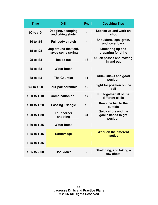| <b>Time</b>  | <b>Drill</b>                                | Pg. | <b>Coaching Tips</b>                                          |
|--------------|---------------------------------------------|-----|---------------------------------------------------------------|
| 00 to :10    | Dodging, scooping<br>and taking shots       |     | Loosen up and work on<br>shot                                 |
| :10 to :15   | <b>Full body stretch</b>                    |     | Shoulders, legs, groin,<br>and lower back                     |
| :15 to :25   | Jog around the field,<br>maybe some sprints |     | Limbering up and<br>preparing for drills                      |
| :25 to :35   | Inside out                                  | 18  | <b>Quick passes and moving</b><br>in and out                  |
| :35 to :38   | <b>Water break</b>                          |     |                                                               |
| :38 to :45   | <b>The Gauntlet</b>                         | 11  | <b>Quick sticks and good</b><br>position                      |
| :45 to 1:00  | Four pair scramble                          | 12  | Fight for position on the<br>ball                             |
| 1:00 to 1:10 | <b>Combination drill</b>                    | 14  | Put together all of the<br>different skills                   |
| 1:10 to 1:20 | <b>Passing Triangle</b>                     | 18  | Keep the ball to the<br>outside                               |
| 1:20 to 1:30 | <b>Four corner</b><br>shooting              | 31  | <b>Quick shots and the</b><br>goalie needs to get<br>position |
| 1:30 to 1:35 | <b>Water break</b>                          |     |                                                               |
| 1:35 to 1:45 | <b>Scrimmage</b>                            |     | <b>Work on the different</b><br>tactics                       |
| 1:45 to 1:55 |                                             |     |                                                               |
| 1:55 to 2:00 | <b>Cool down</b>                            |     | Stretching, and taking a<br>few shots                         |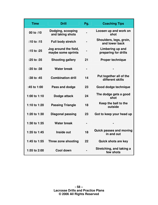| <b>Time</b>  | <b>Drill</b>                                | Pg.            | <b>Coaching Tips</b>                         |
|--------------|---------------------------------------------|----------------|----------------------------------------------|
| 00 to :10    | Dodging, scooping<br>and taking shots       |                | Loosen up and work on<br>shot                |
| :10 to :15   | <b>Full body stretch</b>                    |                | Shoulders, legs, groin,<br>and lower back    |
| :15 to :25   | Jog around the field,<br>maybe some sprints |                | Limbering up and<br>preparing for drills     |
| :25 to :35   | <b>Shooting gallery</b>                     | 21             | <b>Proper technique</b>                      |
| :35 to :38   | <b>Water break</b>                          | $\blacksquare$ |                                              |
| :38 to :45   | <b>Combination drill</b>                    | 14             | Put together all of the<br>different skills  |
| :45 to 1:00  | Pass and dodge                              | 23             | Good dodge technique                         |
| 1:00 to 1:10 | Dodge attack                                | 24             | The dodge gets a good<br>shot                |
| 1:10 to 1:20 | <b>Passing Triangle</b>                     | 18             | Keep the ball to the<br>outside              |
| 1:20 to 1:30 | <b>Diagonal passing</b>                     | 23             | Got to keep your head up                     |
| 1:30 to 1:35 | <b>Water break</b>                          | $\blacksquare$ |                                              |
| 1:35 to 1:45 | Inside out                                  | 18             | <b>Quick passes and moving</b><br>in and out |
| 1:45 to 1:55 | Three zone shooting                         | 22             | <b>Quick shots are key</b>                   |
| 1:55 to 2:00 | <b>Cool down</b>                            |                | Stretching, and taking a<br>few shots        |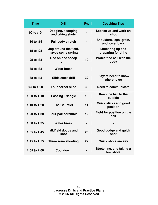| <b>Time</b>  | <b>Drill</b>                                | Pg. | <b>Coaching Tips</b>                       |
|--------------|---------------------------------------------|-----|--------------------------------------------|
| 00 to :10    | Dodging, scooping<br>and taking shots       |     | Loosen up and work on<br>shot              |
| $:10$ to :15 | <b>Full body stretch</b>                    |     | Shoulders, legs, groin,<br>and lower back  |
| :15 to $:25$ | Jog around the field,<br>maybe some sprints |     | Limbering up and<br>preparing for drills   |
| :25 to :35   | One on one scoop<br>drill                   | 10  | <b>Protect the ball with the</b><br>body   |
| :35 to :38   | <b>Water break</b>                          |     |                                            |
| :38 to :45   | Slide stack drill                           | 32  | <b>Players need to know</b><br>where to go |
| :45 to 1:00  | <b>Four corner slide</b>                    | 33  | <b>Need to communicate</b>                 |
| 1:00 to 1:10 | <b>Passing Triangle</b>                     | 18  | Keep the ball to the<br>outside            |
| 1:10 to 1:20 | <b>The Gauntlet</b>                         | 11  | <b>Quick sticks and good</b><br>position   |
| 1:20 to 1:30 | Four pair scramble                          | 12  | Fight for position on the<br>ball          |
| 1:30 to 1:35 | <b>Water break</b>                          |     |                                            |
| 1:35 to 1:45 | Midfield dodge and<br>shot                  | 25  | Good dodge and quick<br>shot               |
| 1:45 to 1:55 | Three zone shooting                         | 22  | <b>Quick shots are key</b>                 |
| 1:55 to 2:00 | Cool down                                   |     | Stretching, and taking a<br>few shots      |